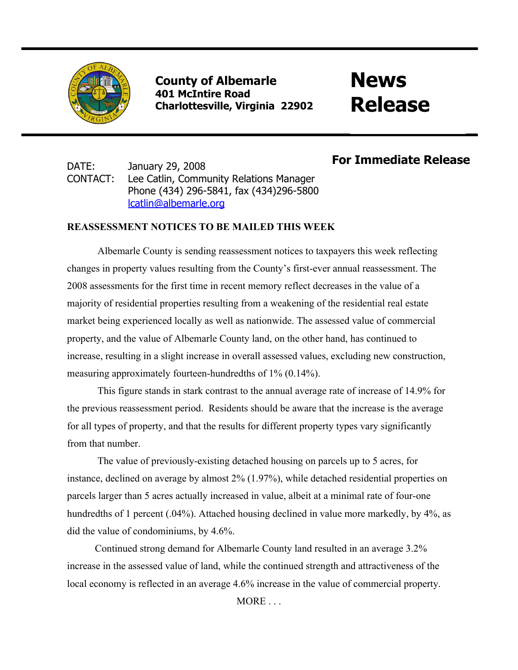

**County of Albemarle 401 McIntire Road Charlottesville, Virginia 22902**

# **News Release**

## DATE: January 29, 2008 CONTACT: Lee Catlin, Community Relations Manager Phone (434) 296-5841, fax (434)296-5800 [lcatlin@albemarle.org](mailto:lcatlin@albemarle.org)

## **For Immediate Release**

### **REASSESSMENT NOTICES TO BE MAILED THIS WEEK**

Albemarle County is sending reassessment notices to taxpayers this week reflecting changes in property values resulting from the County's first-ever annual reassessment. The 2008 assessments for the first time in recent memory reflect decreases in the value of a majority of residential properties resulting from a weakening of the residential real estate market being experienced locally as well as nationwide. The assessed value of commercial property, and the value of Albemarle County land, on the other hand, has continued to increase, resulting in a slight increase in overall assessed values, excluding new construction, measuring approximately fourteen-hundredths of 1% (0.14%).

This figure stands in stark contrast to the annual average rate of increase of 14.9% for the previous reassessment period. Residents should be aware that the increase is the average for all types of property, and that the results for different property types vary significantly from that number.

 The value of previously-existing detached housing on parcels up to 5 acres, for instance, declined on average by almost 2% (1.97%), while detached residential properties on parcels larger than 5 acres actually increased in value, albeit at a minimal rate of four-one hundredths of 1 percent (.04%). Attached housing declined in value more markedly, by 4%, as did the value of condominiums, by 4.6%.

 Continued strong demand for Albemarle County land resulted in an average 3.2% increase in the assessed value of land, while the continued strength and attractiveness of the local economy is reflected in an average 4.6% increase in the value of commercial property.

MORE . . .